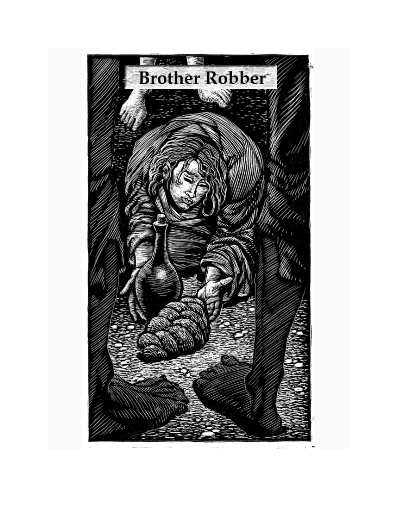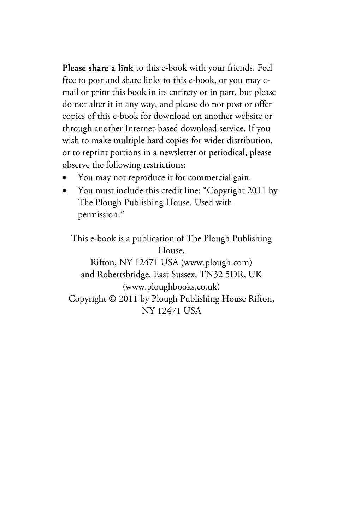copies of this e-book for download on another website or wish to make multiple hard copies for wider distribution, or to reprint portions in a newsletter or periodical, please observe the following restrictions: Please share a link to this e-book with your friends. Feel free to post and share links to this e-book, or you may email or print this book in its entirety or in part, but please do not alter it in any way, and please do not post or offer through another Internet-based download service. If you

- You may not reproduce it for commercial gain.
- The Plough Publishing House. Used with You must include this credit line: "Copyright 2011 by permission."

 This e-book is a publication of The Plough Publishing House, Rifton, NY 12471 USA (www.plough.com) and Robertsbridge, East Sussex, TN32 5DR, UK (www.ploughbooks.co.uk) Copyright © 2011 by Plough Publishing House Rifton, NY 12471 USA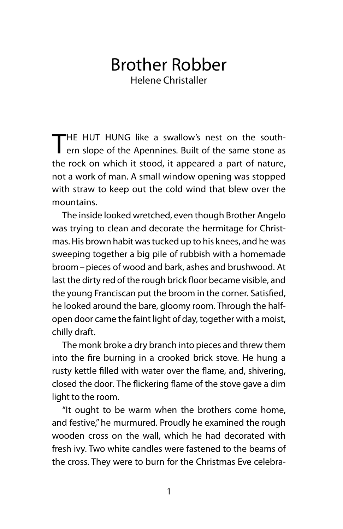## Brother Robber Helene Christaller

THE HUT HUNG like a swallow's nest on the south-THE HUT HUNG like a swallow's nest on the south-<br>
ern slope of the Apennines. Built of the same stone as the rock on which it stood, it appeared a part of nature, not a work of man. A small window opening was stopped with straw to keep out the cold wind that blew over the mountains.

 The inside looked wretched, even though Brother Angelo was trying to clean and decorate the hermitage for Christ- mas. His brown habit was tucked up to his knees, and he was sweeping together a big pile of rubbish with a homemade broom – pieces of wood and bark, ashes and brushwood. At last the dirty red of the rough brick floor became visible, and the young Franciscan put the broom in the corner. Satisfied, he looked around the bare, gloomy room. Through the half- open door came the faint light of day, together with a moist, chilly draft.

 The monk broke a dry branch into pieces and threw them into the fire burning in a crooked brick stove. He hung a rusty kettle filled with water over the flame, and, shivering, closed the door. The flickering flame of the stove gave a dim light to the room.

 "It ought to be warm when the brothers come home, and festive," he murmured. Proudly he examined the rough wooden cross on the wall, which he had decorated with fresh ivy. Two white candles were fastened to the beams of the cross. They were to burn for the Christmas Eve celebra-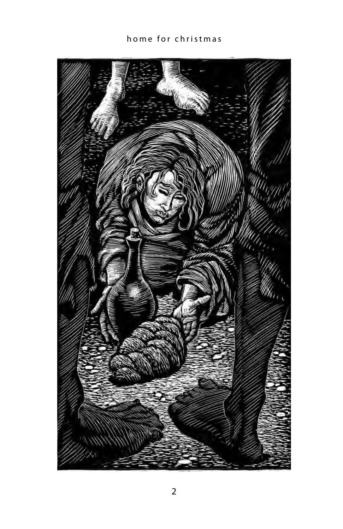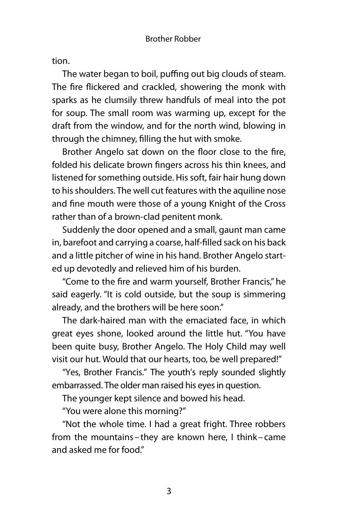tion.

 The water began to boil, puffing out big clouds of steam. The fire flickered and crackled, showering the monk with sparks as he clumsily threw handfuls of meal into the pot for soup. The small room was warming up, except for the draft from the window, and for the north wind, blowing in through the chimney, filling the hut with smoke.

 Brother Angelo sat down on the floor close to the fire, folded his delicate brown fingers across his thin knees, and listened for something outside. His soft, fair hair hung down to his shoulders. The well cut features with the aquiline nose and fine mouth were those of a young Knight of the Cross rather than of a brown-clad penitent monk.

 Suddenly the door opened and a small, gaunt man came in, barefoot and carrying a coarse, half-filled sack on his back and a little pitcher of wine in his hand. Brother Angelo start-ed up devotedly and relieved him of his burden.

 "Come to the fire and warm yourself, Brother Francis," he said eagerly. "It is cold outside, but the soup is simmering already, and the brothers will be here soon."

 The dark-haired man with the emaciated face, in which great eyes shone, looked around the little hut. "You have been quite busy, Brother Angelo. The Holy Child may well visit our hut. Would that our hearts, too, be well prepared!"

 "Yes, Brother Francis." The youth's reply sounded slightly embarrassed. The older man raised his eyes in question.

The younger kept silence and bowed his head.

"You were alone this morning?"

 "Not the whole time. I had a great fright. Three robbers from the mountains – they are known here, I think – came and asked me for food."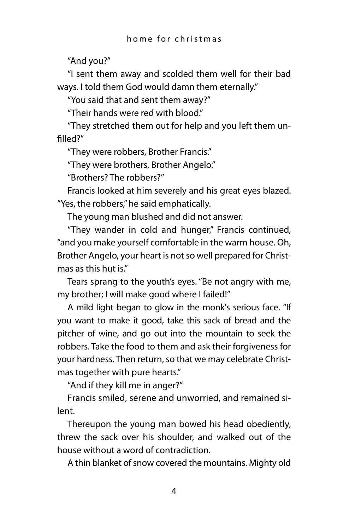"And you?"

 "I sent them away and scolded them well for their bad ways. I told them God would damn them eternally."

"You said that and sent them away?"

"Their hands were red with blood."

 "They stretched them out for help and you left them unfilled?"

"They were robbers, Brother Francis."

"They were brothers, Brother Angelo."

"Brothers? The robbers?"

 Francis looked at him severely and his great eyes blazed. "Yes, the robbers," he said emphatically.

The young man blushed and did not answer.

 "They wander in cold and hunger," Francis continued, "and you make yourself comfortable in the warm house. Oh, Brother Angelo, your heart is not so well prepared for Christ-mas as this hut is."

 Tears sprang to the youth's eyes. "Be not angry with me, my brother; I will make good where I failed!"

 A mild light began to glow in the monk's serious face. "If you want to make it good, take this sack of bread and the pitcher of wine, and go out into the mountain to seek the robbers. Take the food to them and ask their forgiveness for your hardness. Then return, so that we may celebrate Christ-mas together with pure hearts."

"And if they kill me in anger?"

 Francis smiled, serene and unworried, and remained silent.

 Thereupon the young man bowed his head obediently, threw the sack over his shoulder, and walked out of the house without a word of contradiction.

A thin blanket of snow covered the mountains. Mighty old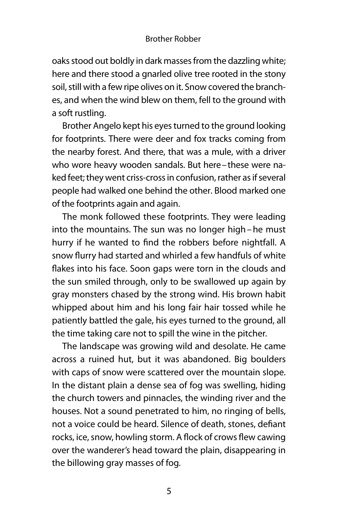## Brother Robber

 oaks stood out boldly in dark masses from the dazzling white; here and there stood a gnarled olive tree rooted in the stony soil, still with a few ripe olives on it. Snow covered the branch- es, and when the wind blew on them, fell to the ground with a soft rustling.

 Brother Angelo kept his eyes turned to the ground looking for footprints. There were deer and fox tracks coming from the nearby forest. And there, that was a mule, with a driver who wore heavy wooden sandals. But here –these were na- ked feet; they went criss-cross in confusion, rather as if several people had walked one behind the other. Blood marked one of the footprints again and again.

 The monk followed these footprints. They were leading into the mountains. The sun was no longer high – he must hurry if he wanted to find the robbers before nightfall. A snow flurry had started and whirled a few handfuls of white flakes into his face. Soon gaps were torn in the clouds and the sun smiled through, only to be swallowed up again by gray monsters chased by the strong wind. His brown habit whipped about him and his long fair hair tossed while he patiently battled the gale, his eyes turned to the ground, all the time taking care not to spill the wine in the pitcher.

 The landscape was growing wild and desolate. He came across a ruined hut, but it was abandoned. Big boulders with caps of snow were scattered over the mountain slope. In the distant plain a dense sea of fog was swelling, hiding the church towers and pinnacles, the winding river and the houses. Not a sound penetrated to him, no ringing of bells, not a voice could be heard. Silence of death, stones, defiant rocks, ice, snow, howling storm. A flock of crows flew cawing over the wanderer's head toward the plain, disappearing in the billowing gray masses of fog.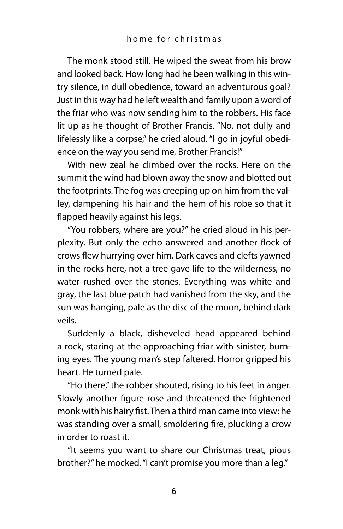The monk stood still. He wiped the sweat from his brow and looked back. How long had he been walking in this win- try silence, in dull obedience, toward an adventurous goal? Just in this way had he left wealth and family upon a word of the friar who was now sending him to the robbers. His face lit up as he thought of Brother Francis. "No, not dully and lifelessly like a corpse," he cried aloud. "I go in joyful obedi-ence on the way you send me, Brother Francis!"

 With new zeal he climbed over the rocks. Here on the summit the wind had blown away the snow and blotted out the footprints. The fog was creeping up on him from the val- ley, dampening his hair and the hem of his robe so that it flapped heavily against his legs.

 "You robbers, where are you?" he cried aloud in his per- plexity. But only the echo answered and another flock of crows flew hurrying over him. Dark caves and clefts yawned in the rocks here, not a tree gave life to the wilderness, no water rushed over the stones. Everything was white and gray, the last blue patch had vanished from the sky, and the sun was hanging, pale as the disc of the moon, behind dark veils.

 Suddenly a black, disheveled head appeared behind a rock, staring at the approaching friar with sinister, burn- ing eyes. The young man's step faltered. Horror gripped his heart. He turned pale.

 "Ho there," the robber shouted, rising to his feet in anger. Slowly another figure rose and threatened the frightened monk with his hairy fist. Then a third man came into view; he was standing over a small, smoldering fire, plucking a crow in order to roast it.

 "It seems you want to share our Christmas treat, pious brother?" he mocked. "I can't promise you more than a leg."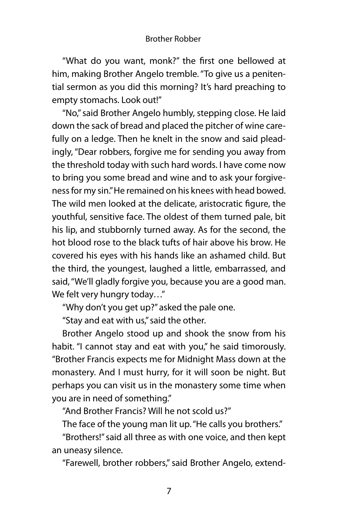"What do you want, monk?" the first one bellowed at him, making Brother Angelo tremble. "To give us a peniten- tial sermon as you did this morning? It's hard preaching to empty stomachs. Look out!"

 "No," said Brother Angelo humbly, stepping close. He laid down the sack of bread and placed the pitcher of wine care- fully on a ledge. Then he knelt in the snow and said plead- ingly, "Dear robbers, forgive me for sending you away from the threshold today with such hard words. I have come now to bring you some bread and wine and to ask your forgive- ness for my sin."He remained on his knees with head bowed. The wild men looked at the delicate, aristocratic figure, the youthful, sensitive face. The oldest of them turned pale, bit his lip, and stubbornly turned away. As for the second, the hot blood rose to the black tufts of hair above his brow. He covered his eyes with his hands like an ashamed child. But the third, the youngest, laughed a little, embarrassed, and said, "We'll gladly forgive you, because you are a good man. We felt very hungry today…"

"Why don't you get up?" asked the pale one.

"Stay and eat with us," said the other.

 Brother Angelo stood up and shook the snow from his habit. "I cannot stay and eat with you," he said timorously. "Brother Francis expects me for Midnight Mass down at the monastery. And I must hurry, for it will soon be night. But perhaps you can visit us in the monastery some time when you are in need of something."

"And Brother Francis? Will he not scold us?"

The face of the young man lit up. "He calls you brothers."

 "Brothers!" said all three as with one voice, and then kept an uneasy silence.

"Farewell, brother robbers," said Brother Angelo, extend-